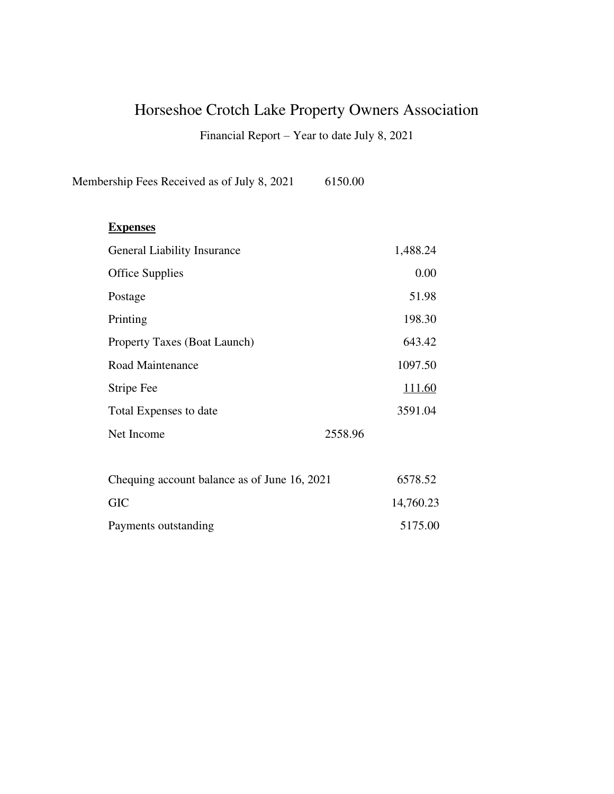## Horseshoe Crotch Lake Property Owners Association

Financial Report – Year to date July 8, 2021

Membership Fees Received as of July 8, 2021 6150.00

## **Expenses**

| 1,488.24 |
|----------|
| 0.00     |
| 51.98    |
| 198.30   |
| 643.42   |
| 1097.50  |
| 111.60   |
| 3591.04  |
| 2558.96  |
|          |

| Chequing account balance as of June 16, 2021 | 6578.52   |
|----------------------------------------------|-----------|
| GIC.                                         | 14,760.23 |
| Payments outstanding                         | 5175.00   |